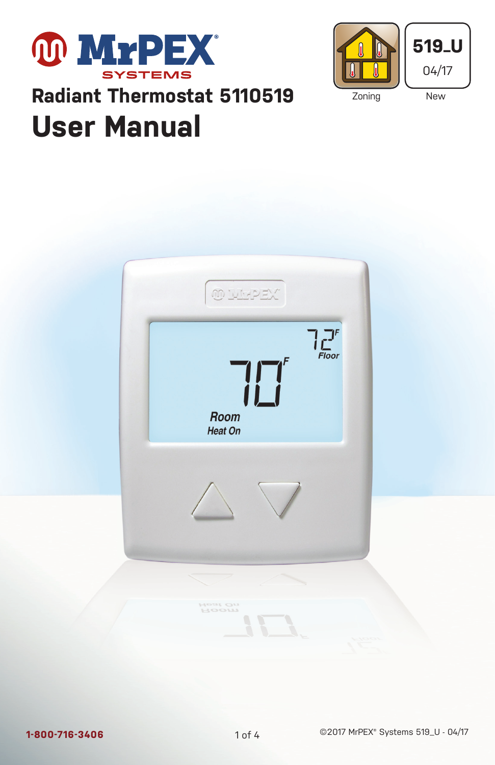



# **User Manual Radiant Thermostat 5110519**

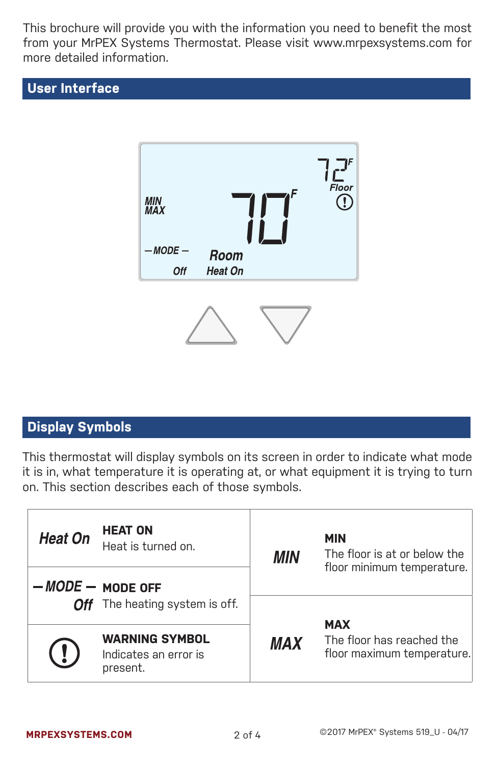This brochure will provide you with the information you need to benefit the most from your MrPEX Systems Thermostat. Please visit www.mrpexsystems.com for more detailed information.

## **User Interface**



# **Display Symbols**

This thermostat will display symbols on its screen in order to indicate what mode it is in, what temperature it is operating at, or what equipment it is trying to turn on. This section describes each of those symbols.

| <b>Heat On</b>                                                   | <b>HEAT ON</b><br>Heat is turned on.                       | MIN        | <b>MIN</b><br>The floor is at or below the<br>floor minimum temperature. |
|------------------------------------------------------------------|------------------------------------------------------------|------------|--------------------------------------------------------------------------|
|                                                                  | $-MODE$ $-$ MODE OFF<br>Off The heating system is off.     |            |                                                                          |
| $\left(\begin{smallmatrix} 1\\ \bullet \end{smallmatrix}\right)$ | <b>WARNING SYMBOL</b><br>Indicates an error is<br>present. | <b>MAX</b> | <b>MAX</b><br>The floor has reached the<br>floor maximum temperature.    |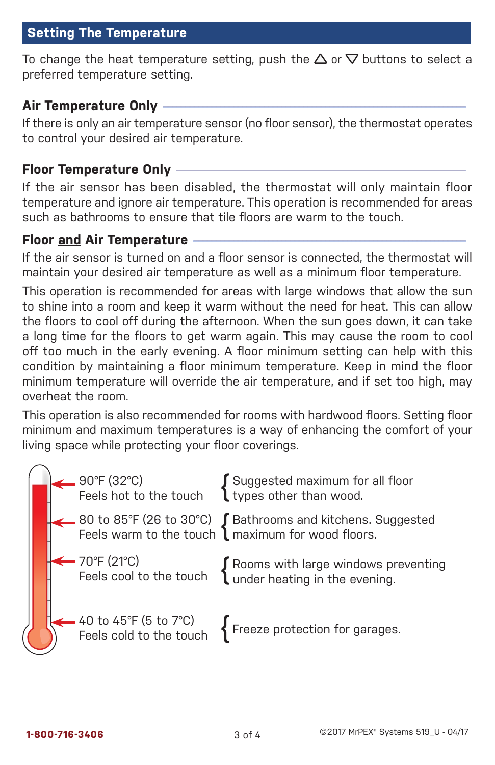## **Setting The Temperature**

To change the heat temperature setting, push the  $\Delta$  or  $\nabla$  buttons to select a preferred temperature setting.

#### **Air Temperature Only —**

If there is only an air temperature sensor (no floor sensor), the thermostat operates to control your desired air temperature.

#### **Floor Temperature Only —–**

If the air sensor has been disabled, the thermostat will only maintain floor temperature and ignore air temperature. This operation is recommended for areas such as bathrooms to ensure that tile floors are warm to the touch.

#### **Floor and Air Temperature**

If the air sensor is turned on and a floor sensor is connected, the thermostat will maintain your desired air temperature as well as a minimum floor temperature.

This operation is recommended for areas with large windows that allow the sun to shine into a room and keep it warm without the need for heat. This can allow the floors to cool off during the afternoon. When the sun goes down, it can take a long time for the floors to get warm again. This may cause the room to cool off too much in the early evening. A floor minimum setting can help with this condition by maintaining a floor minimum temperature. Keep in mind the floor minimum temperature will override the air temperature, and if set too high, may overheat the room.

This operation is also recommended for rooms with hardwood floors. Setting floor minimum and maximum temperatures is a way of enhancing the comfort of your living space while protecting your floor coverings.

|  |                                                               | 90°F (32°C) $\left\{\begin{array}{l} \text{Suggested maximum for all floor} \\ \text{fcels hot to the touch} \end{array}\right.$ $\left\{\begin{array}{l} \text{Suggested maximum for all floor} \\ \text{types other than wood.} \end{array}\right.$ |
|--|---------------------------------------------------------------|-------------------------------------------------------------------------------------------------------------------------------------------------------------------------------------------------------------------------------------------------------|
|  |                                                               | △ 80 to 85°F (26 to 30°C)<br>Feels warm to the touch (maximum for wood floors.                                                                                                                                                                        |
|  | ← 70°F (21°C)<br>Feels cool to the touch                      | Rooms with large windows preventing<br>Under heating in the evening.                                                                                                                                                                                  |
|  | $\leftarrow$ 40 to 45°F (5 to 7°C)<br>Feels cold to the touch | Freeze protection for garages.                                                                                                                                                                                                                        |